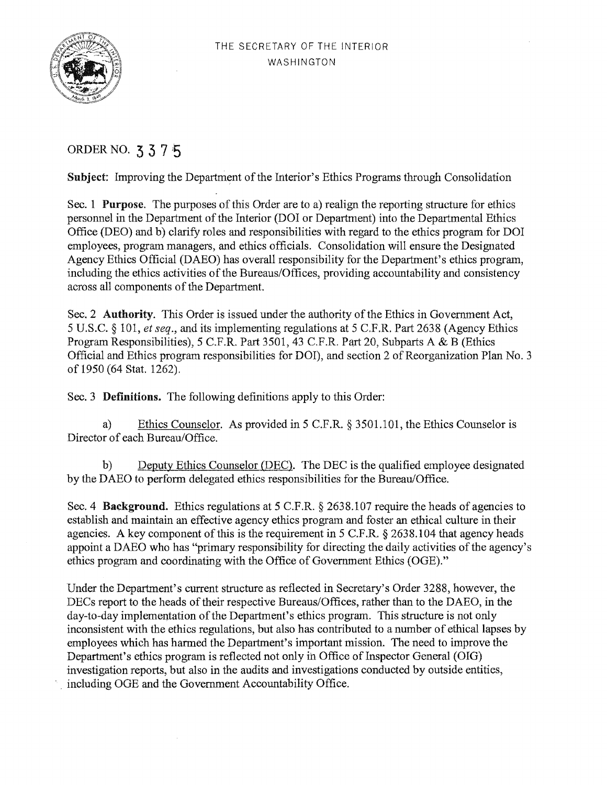

# ORDER NO. **3 3** 7 ,5

**Subject:** Improving the Department of the Interior's Ethics Programs through Consolidation

Sec. 1 **Purpose.** The purposes of this Order are to a) realign the reporting structure for ethics personnel in the Department of the Interior (DOI or Department) into the Departmental Ethics Office (DEO) and b) clarify roles and responsibilities with regard to the ethics program for DOI employees, program managers, and ethics officials. Consolidation will ensure the Designated Agency Ethics Official (DAEO) has overall responsibility for the Department's ethics program, including the ethics activities of the Bureaus/Offices, providing accountability and consistency across all components of the Department.

Sec. 2 **Authority.** This Order is issued under the authority of the Ethics in Government Act, 5 U.S.C. § 101, *et seq.,* and its implementing regulations at 5 C.F.R. Part 2638 (Agency Ethics Program Responsibilities), 5 C.F.R. Part 3501, 43 C.F.R. Part 20, Subparts A & B (Ethics Official and Ethics program responsibilities for DOI), and section 2 of Reorganization Plan No. 3 of 1950 (64 Stat. 1262).

Sec. 3 **Definitions.** The following definitions apply to this Order:

a) Ethics Counselor. As provided in 5 C.F.R. § 3501.101, the Ethics Counselor is Director of each Bureau/Office.

b) Deputy Ethics Counselor (DEC). The DEC is the qualified employee designated by the DAEO to perform delegated ethics responsibilities for the Bureau/Office.

Sec. 4 **Background.** Ethics regulations at 5 C.F.R. § 2638.107 require the heads of agencies to establish and maintain an effective agency ethics program and foster an ethical culture in their agencies. A key component of this is the requirement in 5 C.F.R. § 2638.104 that agency heads appoint a DAEO who has "primary responsibility for directing the daily activities of the agency's ethics program and coordinating with the Office of Government Ethics (OGE)."

Under the Department's current structure as reflected in Secretary's Order 3288, however, the DECs report to the heads of their respective Bureaus/Offices, rather than to the DAEO, in the day-to-day implementation of the Department's ethics program. This structure is not only inconsistent with the ethics regulations, but also has contributed to a number of ethical lapses by employees which has harmed the Department's important mission. The need to improve the Department's ethics program is reflected not only in Office of Inspector General (OIG) investigation reports, but also in the audits and investigations conducted by outside entities, including OGE and the Government Accountability Office.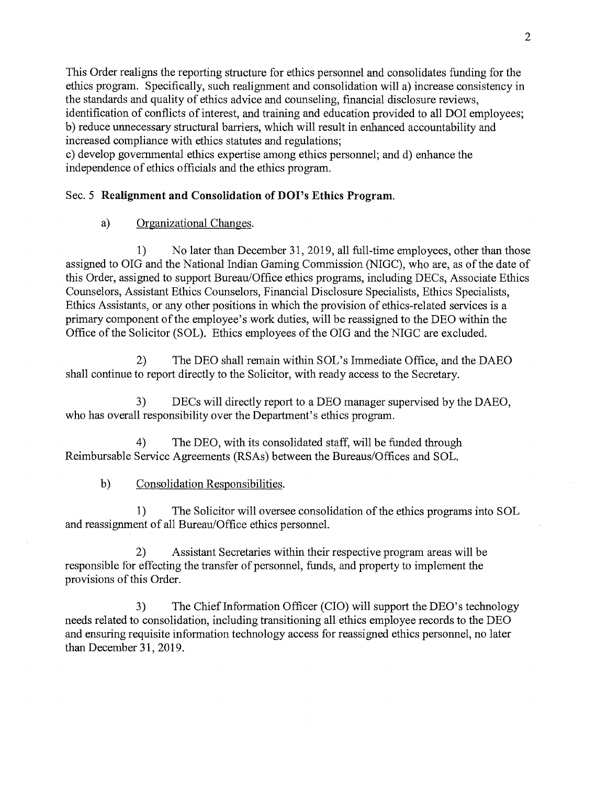This Order realigns the reporting structure for ethics personnel and consolidates funding for the ethics program. Specifically, such realignment and consolidation will a) increase consistency in the standards and quality of ethics advice and counseling, financial disclosure reviews, identification of conflicts of interest, and training and education provided to all DOI employees; b) reduce unnecessary structural barriers, which will result in enhanced accountability and increased compliance with ethics statutes and regulations;

c) develop governmental ethics expertise among ethics personnel; and d) enhance the independence of ethics officials and the ethics program.

## Sec. 5 **Realignment and Consolidation of DO** I's **Ethics Program.**

# a) Organizational Changes.

1) No later than December 31, 2019, all full-time employees, other than those assigned to OIG and the National Indian Gaming Commission (NIGC), who are, as of the date of this Order, assigned to support Bureau/Office ethics programs, including DECs, Associate Ethics Counselors, Assistant Ethics Counselors, Financial Disclosure Specialists, Ethics Specialists, Ethics Assistants, or any other positions in which the provision of ethics-related services is a primary component of the employee's work duties, will be reassigned to the DEO within the Office of the Solicitor (SOL). Ethics employees of the OIG and the NIGC are excluded.

2) The DEO shall remain within SOL's Immediate Office, and the DAEO shall continue to report directly to the Solicitor, with ready access to the Secretary.

3) DECs will directly report to a DEO manager supervised by the DAEO, who has overall responsibility over the Department's ethics program.

4) The DEO, with its consolidated staff, will be funded through Reimbursable Service Agreements (RSAs) between the Bureaus/Offices and SOL.

## b) Consolidation Responsibilities.

1) The Solicitor will oversee consolidation of the ethics programs into SOL and reassignment of all Bureau/Office ethics personnel.

2) Assistant Secretaries within their respective program areas will be responsible for effecting the transfer of personnel, funds, and property to implement the provisions of this Order.

3) The Chief Information Officer (CIO) will support the DEO's technology needs related to consolidation, including transitioning all ethics employee records to the DEO and ensuring requisite information technology access for reassigned ethics personnel, no later than December 31, 2019.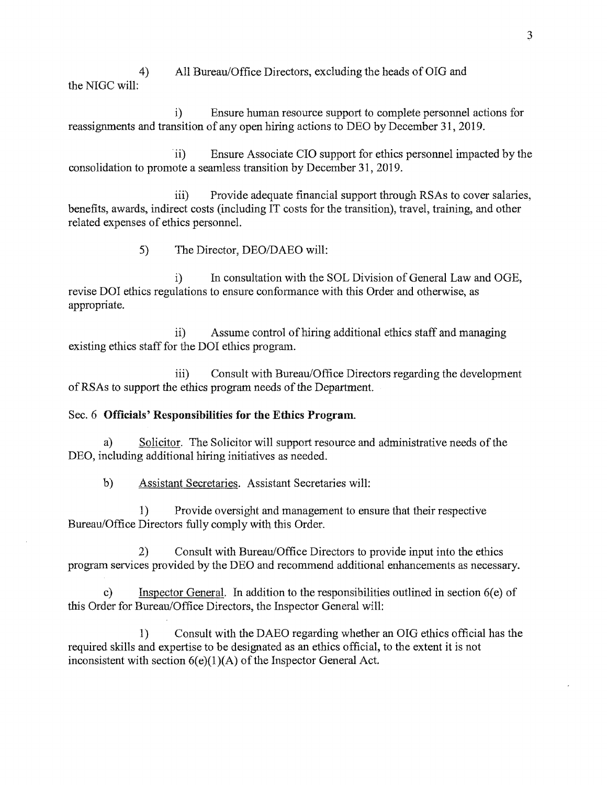4) All Bureau/Office Directors, excluding the heads of OIG and the NIGC will:

i) Ensure human resource support to complete personnel actions for reassignments and transition of any open hiring actions to DEO by December 31, 2019.

· ii) Ensure Associate CIO support for ethics personnel impacted by the consolidation to promote a seamless transition by December 31, 2019.

iii) Provide adequate financial support through RSAs to cover salaries, benefits, awards, indirect costs (including IT costs for the transition), travel, training, and other related expenses of ethics personnel.

5) The Director, DEO/DAEO will:

i) In consultation with the SOL Division of General Law and OGE, revise DOI ethics regulations to ensure conformance with this Order and otherwise, as appropriate.

ii) Assume control of hiring additional ethics staff and managing existing ethics staff for the DOI ethics program.

iii) Consult with Bureau/Office Directors regarding the development ofRSAs to support the ethics program needs of the Department.

#### Sec. 6 **Officials' Responsibilities for the Ethics Program.**

a) Solicitor. The Solicitor will support resource and administrative needs of the DEO, including additional hiring initiatives as needed.

b) Assistant Secretaries. Assistant Secretaries will:

1) Provide oversight and management to ensure that their respective Bureau/Office Directors fully comply with this Order.

2) Consult with Bureau/Office Directors to provide input into the ethics program services provided by the DEO and recommend additional enhancements as necessary.

c) Inspector General. In addition to the responsibilities outlined in section 6(e) of this Order for Bureau/Office Directors, the Inspector General will:

1) Consult with the DAEO regarding whether an OIG ethics official has the required skills and expertise to be designated as an ethics official, to the extent it is not inconsistent with section  $6(e)(1)(A)$  of the Inspector General Act.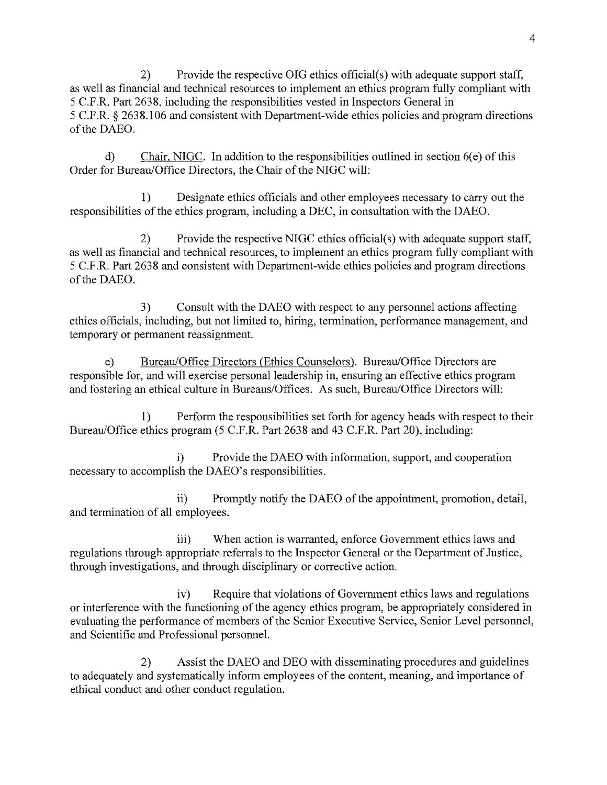2) Provide the respective OIG ethics official(s) with adequate support staff, as well as financial and technical resources to implement an ethics program fully compliant with 5 C.F.R. Part 2638, including the responsibilities vested in Inspectors General in 5 C.F.R. § 2638.106 and consistent with Department-wide ethics policies and program directions of the DAEO.

d) Chair, NIGC. In addition to the responsibilities outlined in section 6(e) of this Order for Bureau/Office Directors, the Chair of the NIGC will:

1) Designate ethics officials and other employees necessary to carry out the responsibilities of the ethics program, including a DEC, in consultation with the DAEO.

2) Provide the respective NIGC ethics official(s) with adequate support staff, as well as financial and technical resources, to implement an ethics program fully compliant with 5 C.F.R. Part 2638 and consistent with Department-wide ethics policies and program directions of the DAEO.

3) Consult with the DAEO with respect to any personnel actions affecting ethics officials, including, but not limited to, hiring, termination, performance management, and temporary or permanent reassignment.

e) Bureau/Office Directors (Ethics Counselors). Bureau/Office Directors are responsible for, and will exercise personal leadership in, ensuring an effective ethics program and fostering an ethical culture in Bureaus/Offices. As such, Bureau/Office Directors will:

1) Perform the responsibilities set forth for agency heads with respect to their Bureau/Office ethics program (5 C.F.R. Part 2638 and 43 C.F.R. Part 20), including:

i) Provide the DAEO with information, support, and cooperation necessary to accomplish the DAEO's responsibilities.

ii) Promptly notify the DAEO of the appointment, promotion, detail, and termination of all employees.

iii) When action is warranted, enforce Government ethics laws and regulations through appropriate referrals to the Inspector General or the Department of Justice, through investigations, and through disciplinary or corrective action.

iv) Require that violations of Government ethics laws and regulations or interference with the functioning of the agency ethics program, be appropriately considered in evaluating the performance of members of the Senior Executive Service, Senior Level personnel, and Scientific and Professional personnel.

2) Assist the DAEO and DEO with disseminating procedures and guidelines to adequately and systematically inform employees of the content, meaning, and importance of ethical conduct and other conduct regulation.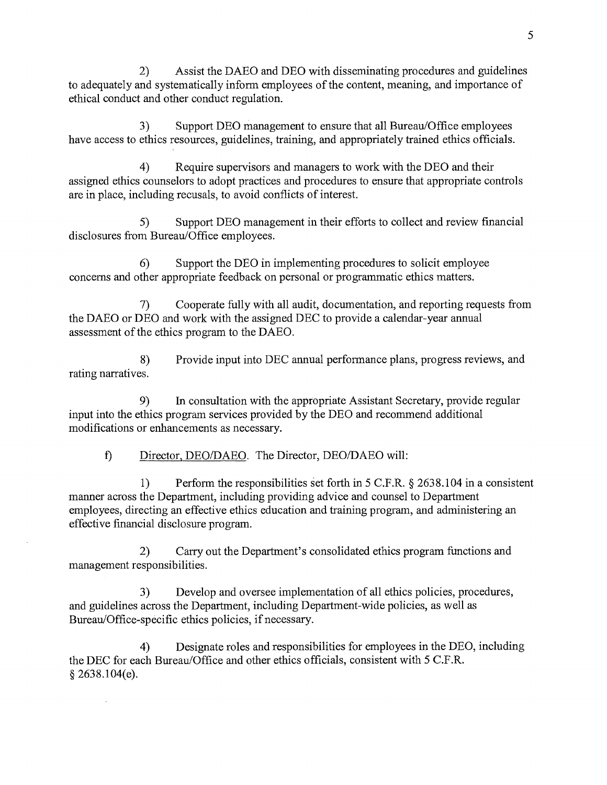2) Assist the DAEO and DEO with disseminating procedures and guidelines to adequately and systematically inform employees of the content, meaning, and importance of ethical conduct and other conduct regulation.

3) Support DEO management to ensure that all Bureau/Office employees have access to ethics resources, guidelines, training, and appropriately trained ethics officials.

4) Require supervisors and managers to work with the DEO and their assigned ethics counselors to adopt practices and procedures to ensure that appropriate controls are in place, including recusals, to avoid conflicts of interest.

5) Support DEO management in their efforts to collect and review financial disclosures from Bureau/Office employees.

6) Support the DEO in implementing procedures to solicit employee concerns and other appropriate feedback on personal or programmatic ethics matters.

7) Cooperate fully with all audit, documentation, and reporting requests from the DAEO or DEO and work with the assigned DEC to provide a calendar-year annual assessment of the ethics program to the DAEO.

8) Provide input into DEC annual performance plans, progress reviews, and rating narratives.

9) In consultation with the appropriate Assistant Secretary, provide regular input into the ethics program services provided by the DEO and recommend additional modifications or enhancements as necessary.

f) Director, DEO/DAEO. The Director, DEO/DAEO will:

1) Perform the responsibilities set forth in  $5$  C.F.R.  $\S$  2638.104 in a consistent manner across the Department, including providing advice and counsel to Department employees, directing an effective ethics education and training program, and administering an effective financial disclosure program.

2) Carry out the Department's consolidated ethics program functions and management responsibilities.

3) Develop and oversee implementation of all ethics policies, procedures, and guidelines across the Department, including Department-wide policies, as well as Bureau/Office-specific ethics policies, if necessary.

4) Designate roles and responsibilities for employees in the DEO, including the DEC for each Bureau/Office and other ethics officials, consistent with 5 C.F.R. § 2638.104(e).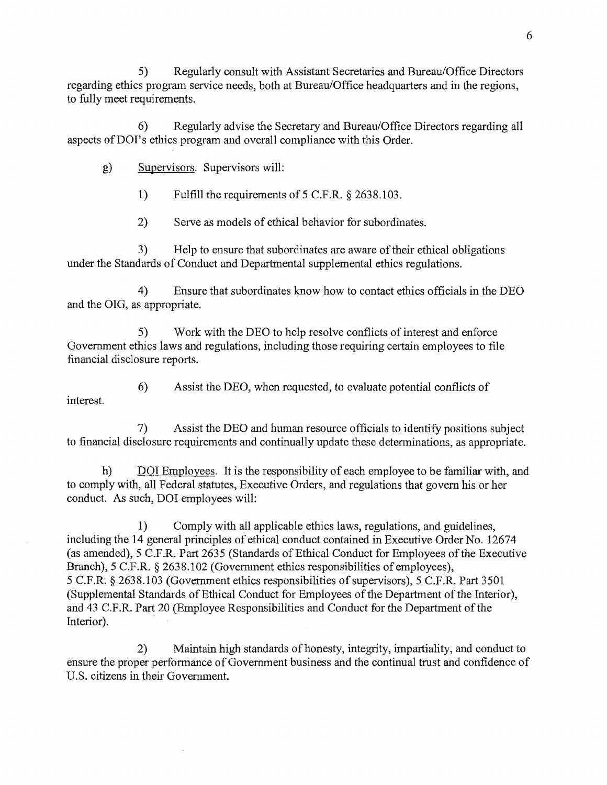5) Regularly consult with Assistant Secretaries and Bureau/Office Directors regarding ethics program service needs, both at Bureau/Office headquarters and in the regions, to fully meet requirements.

6) Regularly advise the Secretary and Bureau/Office Directors regarding all aspects of DOI's ethics program and overall compliance with this Order.

g) Supervisors. Supervisors will:

1) Fulfill the requirements of 5 C.F.R. § 2638.103.

2) Serve as models of ethical behavior for subordinates.

3) Help to ensure that subordinates are aware of their ethical obligations under the Standards of Conduct and Departmental supplemental ethics regulations.

4) Ensure that subordinates know how to contact ethics officials in the DEO and the OIG, as appropriate.

5) Work with the DEO to help resolve conflicts of interest and enforce Government ethics laws and regulations, including those requiring certain employees to file financial disclosure reports.

6) Assist the DEO, when requested, to evaluate potential conflicts of interest.

7) Assist the DEO and human resource officials to identify positions subject to financial disclosure requirements and continually update these determinations, as appropriate.

h) DOI Employees. It is the responsibility of each employee to be familiar with, and to comply with, all Federal statutes, Executive Orders, and regulations that govern his or her conduct. As such, DOI employees will:

1) Comply with all applicable ethics laws, regulations, and guidelines, including the 14 general principles of ethical conduct contained in Executive Order No. 12674 (as amended), 5 C.F.R.·Part 2635 (Standards of Ethical Conduct for Employees of the Executive Branch), 5 C.F.R. § 2638.102 (Government ethics responsibilities of employees), 5 C.F.R. § 2638.103 (Government ethics responsibilities of supervisors), 5 C.F.R. Part 3501 (Supplemental Standards of Ethical Conduct for Employees of the Department of the Interior), and 43 C.F.R. Part 20 (Employee Responsibilities and Conduct for the Department of the Interior).

2) Maintain high standards of honesty, integrity, impartiality, and conduct to ensure the proper performance of Government business and the continual trust and confidence of U.S. citizens in their Government.